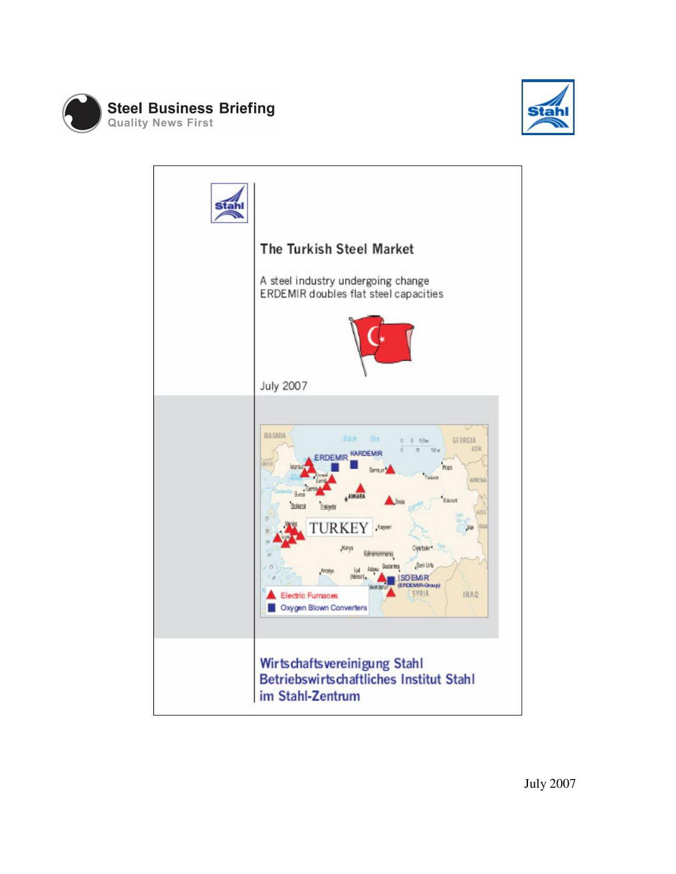



| The Turkish Steel Market                                                                                                                                                                                                                                                                                                                                                                                                                                                                         |
|--------------------------------------------------------------------------------------------------------------------------------------------------------------------------------------------------------------------------------------------------------------------------------------------------------------------------------------------------------------------------------------------------------------------------------------------------------------------------------------------------|
| A steel industry undergoing change<br>ERDEMIR doubles flat steel capacities                                                                                                                                                                                                                                                                                                                                                                                                                      |
|                                                                                                                                                                                                                                                                                                                                                                                                                                                                                                  |
| <b>July 2007</b>                                                                                                                                                                                                                                                                                                                                                                                                                                                                                 |
| BULGARIA<br>Ser<br><b>Hack</b><br>GEORGIA<br>ō<br>li tiden<br>ADER<br>titus<br>$\overline{a}$<br>KARDEMIR<br><b>ERDEMIR</b><br>Hopis<br>Tickett<br><b>VONT NV</b><br><b>LANKAR</b><br>Erailum<br>Balkesin<br>Ligg<br><b>LITH</b><br><b>TURKEY</b><br>IDLI<br><b>Kayw</b><br>Divirbaler <sup>4</sup><br><b>Kanya</b><br>kahanannara<br>Sani Lirta<br>502870<br>Atlant<br>kal<br><b>IMensing</b><br>emir<br>ERDEMIR-Group)<br>SYRIA<br><b>IRAQ</b><br>Electric Furnaces<br>Oxygen Blown Converters |
| Wirtschaftsvereinigung Stahl<br>Betriebswirtschaftliches Institut Stahl<br>im Stahl-Zentrum                                                                                                                                                                                                                                                                                                                                                                                                      |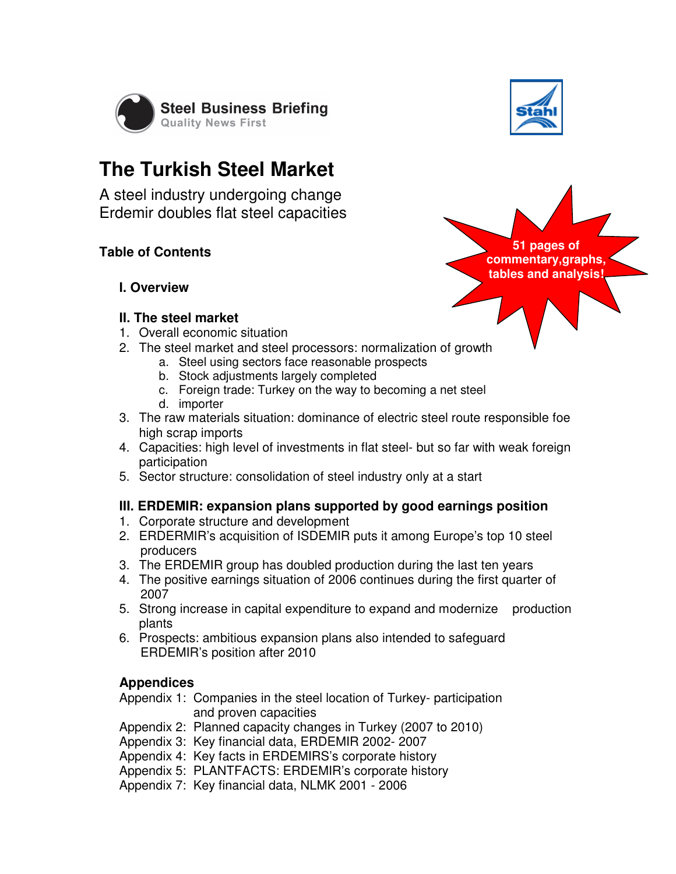

## **The Turkish Steel Market**

A steel industry undergoing change Erdemir doubles flat steel capacities

#### **Table of Contents**

**I. Overview** 

#### **II. The steel market**

- 1. Overall economic situation
- 2. The steel market and steel processors: normalization of growth
	- a. Steel using sectors face reasonable prospects
	- b. Stock adjustments largely completed
	- c. Foreign trade: Turkey on the way to becoming a net steel
	- d. importer
- 3. The raw materials situation: dominance of electric steel route responsible foe high scrap imports
- 4. Capacities: high level of investments in flat steel- but so far with weak foreign participation
- 5. Sector structure: consolidation of steel industry only at a start

#### **III. ERDEMIR: expansion plans supported by good earnings position**

- 1. Corporate structure and development
- 2. ERDERMIR's acquisition of ISDEMIR puts it among Europe's top 10 steel producers
- 3. The ERDEMIR group has doubled production during the last ten years
- 4. The positive earnings situation of 2006 continues during the first quarter of 2007
- 5. Strong increase in capital expenditure to expand and modernize production plants
- 6. Prospects: ambitious expansion plans also intended to safeguard ERDEMIR's position after 2010

#### **Appendices**

- Appendix 1: Companies in the steel location of Turkey- participation and proven capacities
- Appendix 2: Planned capacity changes in Turkey (2007 to 2010)
- Appendix 3: Key financial data, ERDEMIR 2002- 2007

Appendix 4: Key facts in ERDEMIRS's corporate history

Appendix 5: PLANTFACTS: ERDEMIR's corporate history

Appendix 7: Key financial data, NLMK 2001 - 2006